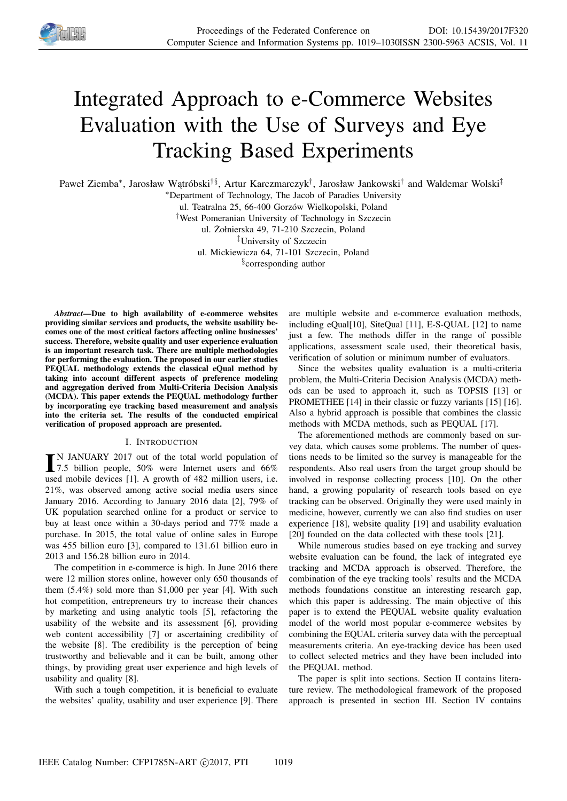

# Integrated Approach to e-Commerce Websites Evaluation with the Use of Surveys and Eye Tracking Based Experiments

Paweł Ziemba\*, Jarosław Wątróbski<sup>†§</sup>, Artur Karczmarczyk<sup>†</sup>, Jarosław Jankowski<sup>†</sup> and Waldemar Wolski‡

<sup>∗</sup>Department of Technology, The Jacob of Paradies University

ul. Teatralna 25, 66-400 Gorzów Wielkopolski, Poland

†West Pomeranian University of Technology in Szczecin

ul. Żołnierska 49, 71-210 Szczecin, Poland

‡University of Szczecin

ul. Mickiewicza 64, 71-101 Szczecin, Poland

§ corresponding author

*Abstract*—Due to high availability of e-commerce websites providing similar services and products, the website usability becomes one of the most critical factors affecting online businesses' success. Therefore, website quality and user experience evaluation is an important research task. There are multiple methodologies for performing the evaluation. The proposed in our earlier studies PEQUAL methodology extends the classical eQual method by taking into account different aspects of preference modeling and aggregation derived from Multi-Criteria Decision Analysis (MCDA). This paper extends the PEQUAL methodology further by incorporating eye tracking based measurement and analysis into the criteria set. The results of the conducted empirical verification of proposed approach are presented.

#### I. INTRODUCTION

IN JANUARY 2017 out of the total world population of<br>7.5 billion people, 50% were Internet users and 66% N JANUARY 2017 out of the total world population of used mobile devices [1]. A growth of 482 million users, i.e. 21%, was observed among active social media users since January 2016. According to January 2016 data [2], 79% of UK population searched online for a product or service to buy at least once within a 30-days period and 77% made a purchase. In 2015, the total value of online sales in Europe was 455 billion euro [3], compared to 131.61 billion euro in 2013 and 156.28 billion euro in 2014.

The competition in e-commerce is high. In June 2016 there were 12 million stores online, however only 650 thousands of them (5.4%) sold more than \$1,000 per year [4]. With such hot competition, entrepreneurs try to increase their chances by marketing and using analytic tools [5], refactoring the usability of the website and its assessment [6], providing web content accessibility [7] or ascertaining credibility of the website [8]. The credibility is the perception of being trustworthy and believable and it can be built, among other things, by providing great user experience and high levels of usability and quality [8].

With such a tough competition, it is beneficial to evaluate the websites' quality, usability and user experience [9]. There

are multiple website and e-commerce evaluation methods, including eQual[10], SiteQual [11], E-S-QUAL [12] to name just a few. The methods differ in the range of possible applications, assessment scale used, their theoretical basis, verification of solution or minimum number of evaluators.

Since the websites quality evaluation is a multi-criteria problem, the Multi-Criteria Decision Analysis (MCDA) methods can be used to approach it, such as TOPSIS [13] or PROMETHEE [14] in their classic or fuzzy variants [15] [16]. Also a hybrid approach is possible that combines the classic methods with MCDA methods, such as PEQUAL [17].

The aforementioned methods are commonly based on survey data, which causes some problems. The number of questions needs to be limited so the survey is manageable for the respondents. Also real users from the target group should be involved in response collecting process [10]. On the other hand, a growing popularity of research tools based on eye tracking can be observed. Originally they were used mainly in medicine, however, currently we can also find studies on user experience [18], website quality [19] and usability evaluation [20] founded on the data collected with these tools [21].

While numerous studies based on eye tracking and survey website evaluation can be found, the lack of integrated eye tracking and MCDA approach is observed. Therefore, the combination of the eye tracking tools' results and the MCDA methods foundations constitue an interesting research gap, which this paper is addressing. The main objective of this paper is to extend the PEQUAL website quality evaluation model of the world most popular e-commerce websites by combining the EQUAL criteria survey data with the perceptual measurements criteria. An eye-tracking device has been used to collect selected metrics and they have been included into the PEQUAL method.

The paper is split into sections. Section II contains literature review. The methodological framework of the proposed approach is presented in section III. Section IV contains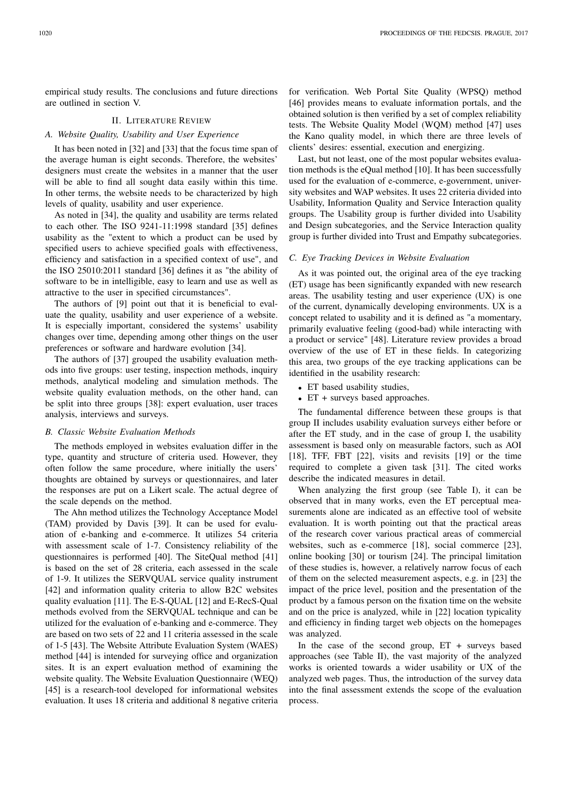empirical study results. The conclusions and future directions are outlined in section V.

#### II. LITERATURE REVIEW

#### *A. Website Quality, Usability and User Experience*

It has been noted in [32] and [33] that the focus time span of the average human is eight seconds. Therefore, the websites' designers must create the websites in a manner that the user will be able to find all sought data easily within this time. In other terms, the website needs to be characterized by high levels of quality, usability and user experience.

As noted in [34], the quality and usability are terms related to each other. The ISO 9241-11:1998 standard [35] defines usability as the "extent to which a product can be used by specified users to achieve specified goals with effectiveness, efficiency and satisfaction in a specified context of use", and the ISO 25010:2011 standard [36] defines it as "the ability of software to be in intelligible, easy to learn and use as well as attractive to the user in specified circumstances".

The authors of [9] point out that it is beneficial to evaluate the quality, usability and user experience of a website. It is especially important, considered the systems' usability changes over time, depending among other things on the user preferences or software and hardware evolution [34].

The authors of [37] grouped the usability evaluation methods into five groups: user testing, inspection methods, inquiry methods, analytical modeling and simulation methods. The website quality evaluation methods, on the other hand, can be split into three groups [38]: expert evaluation, user traces analysis, interviews and surveys.

#### *B. Classic Website Evaluation Methods*

The methods employed in websites evaluation differ in the type, quantity and structure of criteria used. However, they often follow the same procedure, where initially the users' thoughts are obtained by surveys or questionnaires, and later the responses are put on a Likert scale. The actual degree of the scale depends on the method.

The Ahn method utilizes the Technology Acceptance Model (TAM) provided by Davis [39]. It can be used for evaluation of e-banking and e-commerce. It utilizes 54 criteria with assessment scale of 1-7. Consistency reliability of the questionnaires is performed [40]. The SiteQual method [41] is based on the set of 28 criteria, each assessed in the scale of 1-9. It utilizes the SERVQUAL service quality instrument [42] and information quality criteria to allow B2C websites quality evaluation [11]. The E-S-QUAL [12] and E-RecS-Qual methods evolved from the SERVQUAL technique and can be utilized for the evaluation of e-banking and e-commerce. They are based on two sets of 22 and 11 criteria assessed in the scale of 1-5 [43]. The Website Attribute Evaluation System (WAES) method [44] is intended for surveying office and organization sites. It is an expert evaluation method of examining the website quality. The Website Evaluation Questionnaire (WEQ) [45] is a research-tool developed for informational websites evaluation. It uses 18 criteria and additional 8 negative criteria

for verification. Web Portal Site Quality (WPSQ) method [46] provides means to evaluate information portals, and the obtained solution is then verified by a set of complex reliability tests. The Website Quality Model (WQM) method [47] uses the Kano quality model, in which there are three levels of clients' desires: essential, execution and energizing.

Last, but not least, one of the most popular websites evaluation methods is the eQual method [10]. It has been successfully used for the evaluation of e-commerce, e-government, university websites and WAP websites. It uses 22 criteria divided into Usability, Information Quality and Service Interaction quality groups. The Usability group is further divided into Usability and Design subcategories, and the Service Interaction quality group is further divided into Trust and Empathy subcategories.

#### *C. Eye Tracking Devices in Website Evaluation*

As it was pointed out, the original area of the eye tracking (ET) usage has been significantly expanded with new research areas. The usability testing and user experience (UX) is one of the current, dynamically developing environments. UX is a concept related to usability and it is defined as "a momentary, primarily evaluative feeling (good-bad) while interacting with a product or service" [48]. Literature review provides a broad overview of the use of ET in these fields. In categorizing this area, two groups of the eye tracking applications can be identified in the usability research:

- ET based usability studies,
- ET + surveys based approaches.

The fundamental difference between these groups is that group II includes usability evaluation surveys either before or after the ET study, and in the case of group I, the usability assessment is based only on measurable factors, such as AOI [18], TFF, FBT [22], visits and revisits [19] or the time required to complete a given task [31]. The cited works describe the indicated measures in detail.

When analyzing the first group (see Table I), it can be observed that in many works, even the ET perceptual measurements alone are indicated as an effective tool of website evaluation. It is worth pointing out that the practical areas of the research cover various practical areas of commercial websites, such as e-commerce [18], social commerce [23], online booking [30] or tourism [24]. The principal limitation of these studies is, however, a relatively narrow focus of each of them on the selected measurement aspects, e.g. in [23] the impact of the price level, position and the presentation of the product by a famous person on the fixation time on the website and on the price is analyzed, while in [22] location typicality and efficiency in finding target web objects on the homepages was analyzed.

In the case of the second group,  $ET +$  surveys based approaches (see Table II), the vast majority of the analyzed works is oriented towards a wider usability or UX of the analyzed web pages. Thus, the introduction of the survey data into the final assessment extends the scope of the evaluation process.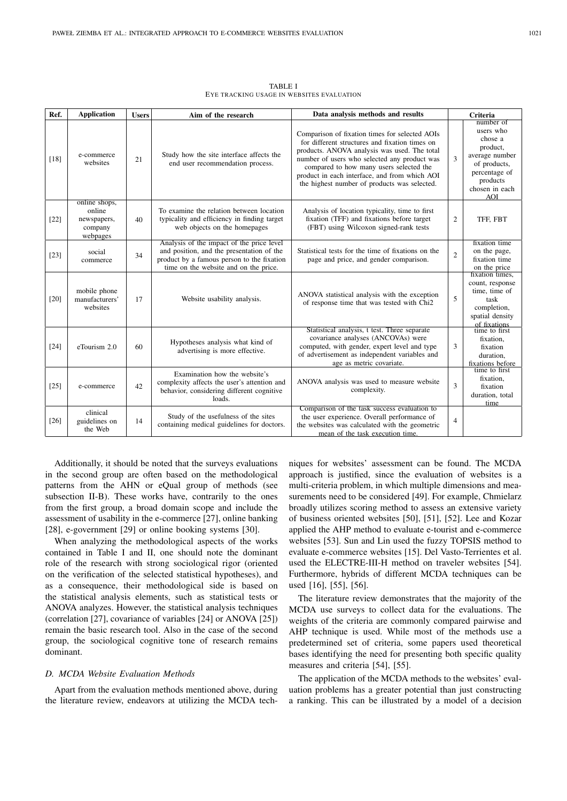| Ref.   | <b>Application</b>                                            | <b>Users</b> | Aim of the research                                                                                                                                                           | Data analysis methods and results                                                                                                                                                                                                                                                                                                            | Criteria       |                                                                                                                                              |  |
|--------|---------------------------------------------------------------|--------------|-------------------------------------------------------------------------------------------------------------------------------------------------------------------------------|----------------------------------------------------------------------------------------------------------------------------------------------------------------------------------------------------------------------------------------------------------------------------------------------------------------------------------------------|----------------|----------------------------------------------------------------------------------------------------------------------------------------------|--|
| $[18]$ | e-commerce<br>websites                                        | 21           | Study how the site interface affects the<br>end user recommendation process.                                                                                                  | Comparison of fixation times for selected AOIs<br>for different structures and fixation times on<br>products. ANOVA analysis was used. The total<br>number of users who selected any product was<br>compared to how many users selected the<br>product in each interface, and from which AOI<br>the highest number of products was selected. | 3              | number of<br>users who<br>chose a<br>product.<br>average number<br>of products,<br>percentage of<br>products<br>chosen in each<br><b>AOI</b> |  |
| $[22]$ | online shops,<br>online<br>newspapers,<br>company<br>webpages | 40           | To examine the relation between location<br>typicality and efficiency in finding target<br>web objects on the homepages                                                       | Analysis of location typicality, time to first<br>fixation (TFF) and fixations before target<br>(FBT) using Wilcoxon signed-rank tests                                                                                                                                                                                                       | 2              | TFF, FBT                                                                                                                                     |  |
| $[23]$ | social<br>commerce                                            | 34           | Analysis of the impact of the price level<br>and position, and the presentation of the<br>product by a famous person to the fixation<br>time on the website and on the price. | Statistical tests for the time of fixations on the<br>page and price, and gender comparison.                                                                                                                                                                                                                                                 | $\overline{c}$ | fixation time<br>on the page,<br>fixation time<br>on the price                                                                               |  |
| $[20]$ | mobile phone<br>manufacturers'<br>websites                    | 17           | Website usability analysis.                                                                                                                                                   | ANOVA statistical analysis with the exception<br>of response time that was tested with Chi2                                                                                                                                                                                                                                                  | 5              | fixation times,<br>count, response<br>time, time of<br>task<br>completion,<br>spatial density<br>of fixations                                |  |
| $[24]$ | eTourism 2.0                                                  | 60           | Hypotheses analysis what kind of<br>advertising is more effective.                                                                                                            | Statistical analysis, t test. Three separate<br>covariance analyses (ANCOVAs) were<br>computed, with gender, expert level and type<br>of advertisement as independent variables and<br>age as metric covariate.                                                                                                                              | 3              | time to first<br>fixation.<br>fixation<br>duration.<br>fixations before                                                                      |  |
| $[25]$ | e-commerce                                                    | 42           | Examination how the website's<br>complexity affects the user's attention and<br>behavior, considering different cognitive<br>loads.                                           | ANOVA analysis was used to measure website<br>complexity.                                                                                                                                                                                                                                                                                    | $\overline{3}$ | time to first<br>fixation.<br>fixation<br>duration, total<br>time                                                                            |  |
| $[26]$ | clinical<br>guidelines on<br>the Web                          | 14           | Study of the usefulness of the sites<br>containing medical guidelines for doctors.                                                                                            | Comparison of the task success evaluation to<br>the user experience. Overall performance of<br>the websites was calculated with the geometric<br>mean of the task execution time.                                                                                                                                                            | $\overline{4}$ |                                                                                                                                              |  |

TABLE I EYE TRACKING USAGE IN WEBSITES EVALUATION

Additionally, it should be noted that the surveys evaluations in the second group are often based on the methodological patterns from the AHN or eQual group of methods (see subsection II-B). These works have, contrarily to the ones from the first group, a broad domain scope and include the assessment of usability in the e-commerce [27], online banking [28], e-government [29] or online booking systems [30].

When analyzing the methodological aspects of the works contained in Table I and II, one should note the dominant role of the research with strong sociological rigor (oriented on the verification of the selected statistical hypotheses), and as a consequence, their methodological side is based on the statistical analysis elements, such as statistical tests or ANOVA analyzes. However, the statistical analysis techniques (correlation [27], covariance of variables [24] or ANOVA [25]) remain the basic research tool. Also in the case of the second group, the sociological cognitive tone of research remains dominant.

### *D. MCDA Website Evaluation Methods*

Apart from the evaluation methods mentioned above, during the literature review, endeavors at utilizing the MCDA techniques for websites' assessment can be found. The MCDA approach is justified, since the evaluation of websites is a multi-criteria problem, in which multiple dimensions and measurements need to be considered [49]. For example, Chmielarz broadly utilizes scoring method to assess an extensive variety of business oriented websites [50], [51], [52]. Lee and Kozar applied the AHP method to evaluate e-tourist and e-commerce websites [53]. Sun and Lin used the fuzzy TOPSIS method to evaluate e-commerce websites [15]. Del Vasto-Terrientes et al. used the ELECTRE-III-H method on traveler websites [54]. Furthermore, hybrids of different MCDA techniques can be used [16], [55], [56].

The literature review demonstrates that the majority of the MCDA use surveys to collect data for the evaluations. The weights of the criteria are commonly compared pairwise and AHP technique is used. While most of the methods use a predetermined set of criteria, some papers used theoretical bases identifying the need for presenting both specific quality measures and criteria [54], [55].

The application of the MCDA methods to the websites' evaluation problems has a greater potential than just constructing a ranking. This can be illustrated by a model of a decision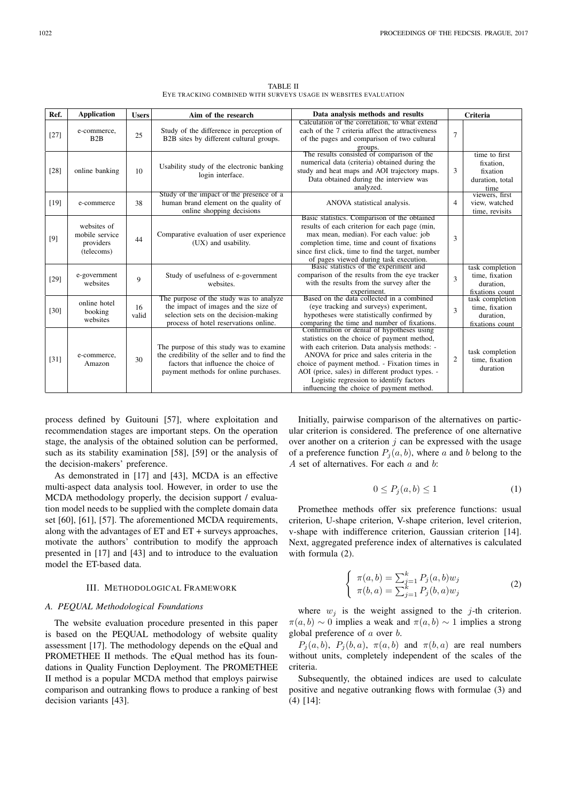TABLE II EYE TRACKING COMBINED WITH SURVEYS USAGE IN WEBSITES EVALUATION

| Ref.   | <b>Application</b>                                       | <b>Users</b> | Aim of the research                                                                                                                                                        | Data analysis methods and results                                                                                                                                                                                                                                                                                                                                                    | Criteria       |                                                                   |  |
|--------|----------------------------------------------------------|--------------|----------------------------------------------------------------------------------------------------------------------------------------------------------------------------|--------------------------------------------------------------------------------------------------------------------------------------------------------------------------------------------------------------------------------------------------------------------------------------------------------------------------------------------------------------------------------------|----------------|-------------------------------------------------------------------|--|
| $[27]$ | e-commerce,<br>B2B                                       | 25           | Study of the difference in perception of<br>B2B sites by different cultural groups.                                                                                        | Calculation of the correlation, to what extend<br>each of the 7 criteria affect the attractiveness<br>of the pages and comparison of two cultural<br>groups.                                                                                                                                                                                                                         | $\overline{7}$ |                                                                   |  |
| $[28]$ | online banking                                           | 10           | Usability study of the electronic banking<br>login interface.                                                                                                              | The results consisted of comparison of the<br>numerical data (criteria) obtained during the<br>study and heat maps and AOI trajectory maps.<br>Data obtained during the interview was<br>analyzed.                                                                                                                                                                                   | 3              | time to first<br>fixation.<br>fixation<br>duration, total<br>time |  |
| [19]   | e-commerce                                               | 38           | Study of the impact of the presence of a<br>human brand element on the quality of<br>online shopping decisions                                                             | ANOVA statistical analysis.                                                                                                                                                                                                                                                                                                                                                          | $\overline{4}$ | viewers, first<br>view, watched<br>time, revisits                 |  |
| [9]    | websites of<br>mobile service<br>providers<br>(telecoms) | 44           | Comparative evaluation of user experience<br>(UX) and usability.                                                                                                           | Basic statistics. Comparison of the obtained<br>results of each criterion for each page (min,<br>max mean, median). For each value: job<br>completion time, time and count of fixations<br>since first click, time to find the target, number<br>of pages viewed during task execution.                                                                                              | 3              |                                                                   |  |
| $[29]$ | e-government<br>websites                                 | $\mathbf Q$  | Study of usefulness of e-government<br>websites.                                                                                                                           | Basic statistics of the experiment and<br>comparison of the results from the eye tracker<br>with the results from the survey after the<br>experiment.                                                                                                                                                                                                                                | $\mathbf{3}$   | task completion<br>time, fixation<br>duration,<br>fixations count |  |
| [30]   | online hotel<br>booking<br>websites                      | 16<br>valid  | The purpose of the study was to analyze<br>the impact of images and the size of<br>selection sets on the decision-making<br>process of hotel reservations online.          | Based on the data collected in a combined<br>(eye tracking and surveys) experiment,<br>hypotheses were statistically confirmed by<br>comparing the time and number of fixations.                                                                                                                                                                                                     | 3              | task completion<br>time, fixation<br>duration.<br>fixations count |  |
| $[31]$ | e-commerce,<br>Amazon                                    | 30           | The purpose of this study was to examine<br>the credibility of the seller and to find the<br>factors that influence the choice of<br>payment methods for online purchases. | Confirmation or denial of hypotheses using<br>statistics on the choice of payment method,<br>with each criterion. Data analysis methods: -<br>ANOVA for price and sales criteria in the<br>choice of payment method. - Fixation times in<br>AOI (price, sales) in different product types. -<br>Logistic regression to identify factors<br>influencing the choice of payment method. | $\overline{2}$ | task completion<br>time, fixation<br>duration                     |  |

process defined by Guitouni [57], where exploitation and recommendation stages are important steps. On the operation stage, the analysis of the obtained solution can be performed, such as its stability examination [58], [59] or the analysis of the decision-makers' preference.

As demonstrated in [17] and [43], MCDA is an effective multi-aspect data analysis tool. However, in order to use the MCDA methodology properly, the decision support / evaluation model needs to be supplied with the complete domain data set [60], [61], [57]. The aforementioned MCDA requirements, along with the advantages of  $ET$  and  $ET$  + surveys approaches, motivate the authors' contribution to modify the approach presented in [17] and [43] and to introduce to the evaluation model the ET-based data.

### III. METHODOLOGICAL FRAMEWORK

#### *A. PEQUAL Methodological Foundations*

The website evaluation procedure presented in this paper is based on the PEQUAL methodology of website quality assessment [17]. The methodology depends on the eQual and PROMETHEE II methods. The eQual method has its foundations in Quality Function Deployment. The PROMETHEE II method is a popular MCDA method that employs pairwise comparison and outranking flows to produce a ranking of best decision variants [43].

Initially, pairwise comparison of the alternatives on particular criterion is considered. The preference of one alternative over another on a criterion  $j$  can be expressed with the usage of a preference function  $P_i(a, b)$ , where a and b belong to the A set of alternatives. For each  $a$  and  $b$ :

$$
0 \le P_j(a, b) \le 1 \tag{1}
$$

Promethee methods offer six preference functions: usual criterion, U-shape criterion, V-shape criterion, level criterion, v-shape with indifference criterion, Gaussian criterion [14]. Next, aggregated preference index of alternatives is calculated with formula (2).

$$
\begin{cases}\n\pi(a,b) = \sum_{j=1}^{k} P_j(a,b) w_j \\
\pi(b,a) = \sum_{j=1}^{k} P_j(b,a) w_j\n\end{cases}
$$
\n(2)

where  $w_i$  is the weight assigned to the j-th criterion.  $\pi(a, b) \sim 0$  implies a weak and  $\pi(a, b) \sim 1$  implies a strong global preference of a over b.

 $P_i(a, b)$ ,  $P_i(b, a)$ ,  $\pi(a, b)$  and  $\pi(b, a)$  are real numbers without units, completely independent of the scales of the criteria.

Subsequently, the obtained indices are used to calculate positive and negative outranking flows with formulae (3) and (4) [14]: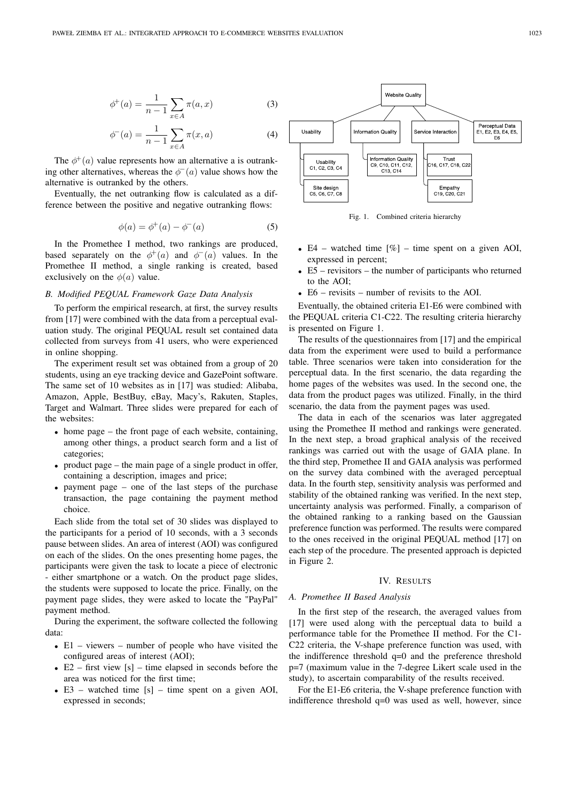$$
\phi^+(a) = \frac{1}{n-1} \sum_{x \in A} \pi(a, x) \tag{3}
$$

$$
\phi^{-}(a) = \frac{1}{n-1} \sum_{x \in A} \pi(x, a)
$$
\n(4)

The  $\phi^+(a)$  value represents how an alternative a is outranking other alternatives, whereas the  $\phi^-(a)$  value shows how the alternative is outranked by the others.

Eventually, the net outranking flow is calculated as a difference between the positive and negative outranking flows:

$$
\phi(a) = \phi^+(a) - \phi^-(a) \tag{5}
$$

In the Promethee I method, two rankings are produced, based separately on the  $\phi^+(a)$  and  $\phi^-(a)$  values. In the Promethee II method, a single ranking is created, based exclusively on the  $\phi(a)$  value.

#### *B. Modified PEQUAL Framework Gaze Data Analysis*

To perform the empirical research, at first, the survey results from [17] were combined with the data from a perceptual evaluation study. The original PEQUAL result set contained data collected from surveys from 41 users, who were experienced in online shopping.

The experiment result set was obtained from a group of 20 students, using an eye tracking device and GazePoint software. The same set of 10 websites as in [17] was studied: Alibaba, Amazon, Apple, BestBuy, eBay, Macy's, Rakuten, Staples, Target and Walmart. Three slides were prepared for each of the websites:

- home page the front page of each website, containing, among other things, a product search form and a list of categories;
- product page the main page of a single product in offer, containing a description, images and price;
- payment page one of the last steps of the purchase transaction, the page containing the payment method choice.

Each slide from the total set of 30 slides was displayed to the participants for a period of 10 seconds, with a 3 seconds pause between slides. An area of interest (AOI) was configured on each of the slides. On the ones presenting home pages, the participants were given the task to locate a piece of electronic - either smartphone or a watch. On the product page slides, the students were supposed to locate the price. Finally, on the payment page slides, they were asked to locate the "PayPal" payment method.

During the experiment, the software collected the following data:

- E1 viewers number of people who have visited the configured areas of interest (AOI);
- E2 first view  $[s]$  time elapsed in seconds before the area was noticed for the first time;
- E3 watched time [s] time spent on a given AOI, expressed in seconds;



Fig. 1. Combined criteria hierarchy

- E4 watched time  $\lceil \% \rceil$  time spent on a given AOI, expressed in percent;
- E5 revisitors the number of participants who returned to the AOI;
- E6 revisits number of revisits to the AOI.

Eventually, the obtained criteria E1-E6 were combined with the PEQUAL criteria C1-C22. The resulting criteria hierarchy is presented on Figure 1.

The results of the questionnaires from [17] and the empirical data from the experiment were used to build a performance table. Three scenarios were taken into consideration for the perceptual data. In the first scenario, the data regarding the home pages of the websites was used. In the second one, the data from the product pages was utilized. Finally, in the third scenario, the data from the payment pages was used.

The data in each of the scenarios was later aggregated using the Promethee II method and rankings were generated. In the next step, a broad graphical analysis of the received rankings was carried out with the usage of GAIA plane. In the third step, Promethee II and GAIA analysis was performed on the survey data combined with the averaged perceptual data. In the fourth step, sensitivity analysis was performed and stability of the obtained ranking was verified. In the next step, uncertainty analysis was performed. Finally, a comparison of the obtained ranking to a ranking based on the Gaussian preference function was performed. The results were compared to the ones received in the original PEQUAL method [17] on each step of the procedure. The presented approach is depicted in Figure 2.

#### IV. RESULTS

#### *A. Promethee II Based Analysis*

In the first step of the research, the averaged values from [17] were used along with the perceptual data to build a performance table for the Promethee II method. For the C1- C22 criteria, the V-shape preference function was used, with the indifference threshold q=0 and the preference threshold p=7 (maximum value in the 7-degree Likert scale used in the study), to ascertain comparability of the results received.

For the E1-E6 criteria, the V-shape preference function with indifference threshold  $q=0$  was used as well, however, since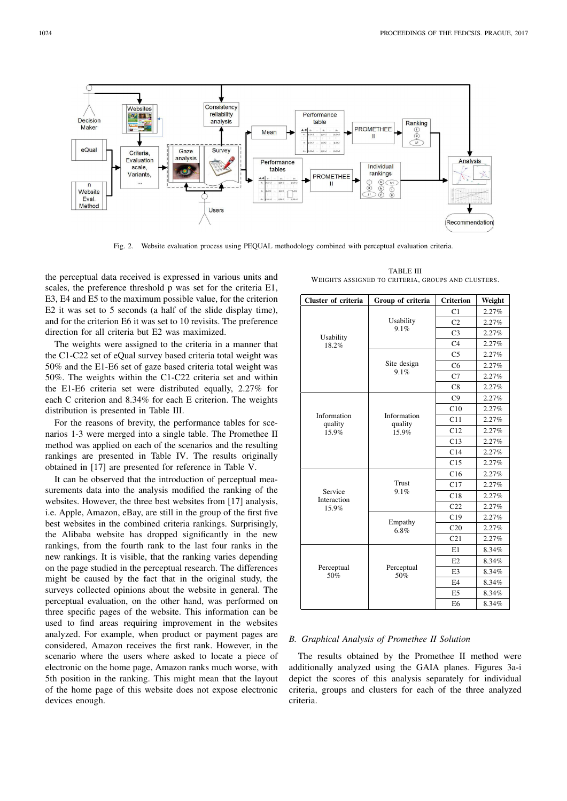

Fig. 2. Website evaluation process using PEQUAL methodology combined with perceptual evaluation criteria.

the perceptual data received is expressed in various units and scales, the preference threshold p was set for the criteria E1, E3, E4 and E5 to the maximum possible value, for the criterion E2 it was set to 5 seconds (a half of the slide display time), and for the criterion E6 it was set to 10 revisits. The preference direction for all criteria but E2 was maximized.

The weights were assigned to the criteria in a manner that the C1-C22 set of eQual survey based criteria total weight was 50% and the E1-E6 set of gaze based criteria total weight was 50%. The weights within the C1-C22 criteria set and within the E1-E6 criteria set were distributed equally, 2.27% for each C criterion and 8.34% for each E criterion. The weights distribution is presented in Table III.

For the reasons of brevity, the performance tables for scenarios 1-3 were merged into a single table. The Promethee II method was applied on each of the scenarios and the resulting rankings are presented in Table IV. The results originally obtained in [17] are presented for reference in Table V.

It can be observed that the introduction of perceptual measurements data into the analysis modified the ranking of the websites. However, the three best websites from [17] analysis, i.e. Apple, Amazon, eBay, are still in the group of the first five best websites in the combined criteria rankings. Surprisingly, the Alibaba website has dropped significantly in the new rankings, from the fourth rank to the last four ranks in the new rankings. It is visible, that the ranking varies depending on the page studied in the perceptual research. The differences might be caused by the fact that in the original study, the surveys collected opinions about the website in general. The perceptual evaluation, on the other hand, was performed on three specific pages of the website. This information can be used to find areas requiring improvement in the websites analyzed. For example, when product or payment pages are considered, Amazon receives the first rank. However, in the scenario where the users where asked to locate a piece of electronic on the home page, Amazon ranks much worse, with 5th position in the ranking. This might mean that the layout of the home page of this website does not expose electronic devices enough.

TABLE III WEIGHTS ASSIGNED TO CRITERIA, GROUPS AND CLUSTERS.

| Cluster of criteria    | Group of criteria      | <b>Criterion</b> | Weight |
|------------------------|------------------------|------------------|--------|
|                        |                        | C1               | 2.27%  |
|                        | Usability              | C <sub>2</sub>   | 2.27%  |
| Usability              | 9.1%                   | C <sub>3</sub>   | 2.27%  |
| 18.2%                  |                        | C <sub>4</sub>   | 2.27%  |
|                        |                        | C <sub>5</sub>   | 2.27%  |
|                        | Site design            | C6               | 2.27%  |
|                        | 9.1%                   | C7               | 2.27%  |
|                        |                        | C8               | 2.27%  |
|                        |                        | C9               | 2.27%  |
|                        |                        | C10              | 2.27%  |
| Information<br>quality | Information<br>quality | C11              | 2.27%  |
| 15.9%                  | 15.9%                  | C12              | 2.27%  |
|                        |                        | C13              | 2.27%  |
|                        |                        | C14              | 2.27%  |
|                        |                        | C15              | 2.27%  |
|                        |                        | C16              | 2.27%  |
|                        | <b>Trust</b>           | C17              | 2.27%  |
| Service<br>Interaction | 9.1%                   | C18              | 2.27%  |
| 15.9%                  |                        | C22              | 2.27%  |
|                        | Empathy                | C19              | 2.27%  |
|                        | 6.8%                   | C20              | 2.27%  |
|                        |                        | C <sub>21</sub>  | 2.27%  |
|                        |                        | E1               | 8.34%  |
|                        |                        | E2               | 8.34%  |
| Perceptual<br>50%      | Perceptual<br>50%      | E <sub>3</sub>   | 8.34%  |
|                        |                        | F <sub>4</sub>   | 8.34%  |
|                        |                        | E <sub>5</sub>   | 8.34%  |
|                        |                        | E <sub>6</sub>   | 8.34%  |

#### *B. Graphical Analysis of Promethee II Solution*

The results obtained by the Promethee II method were additionally analyzed using the GAIA planes. Figures 3a-i depict the scores of this analysis separately for individual criteria, groups and clusters for each of the three analyzed criteria.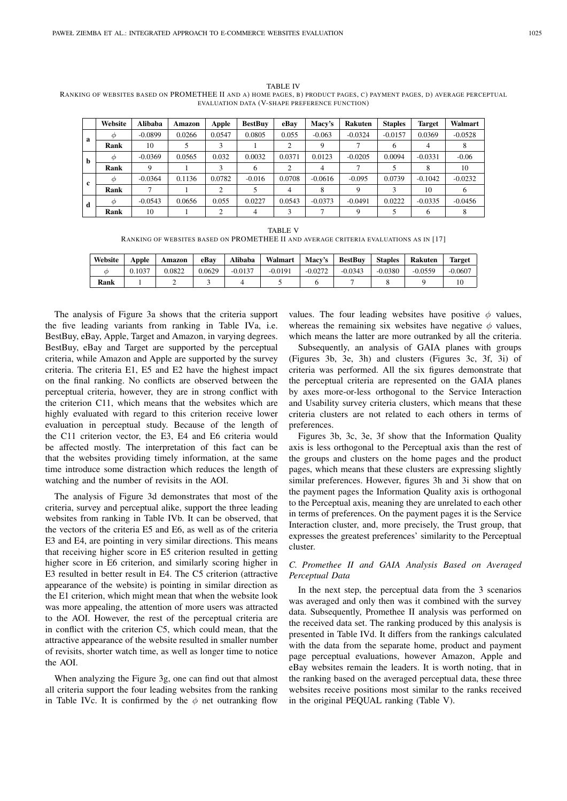TABLE IV RANKING OF WEBSITES BASED ON PROMETHEE II AND A) HOME PAGES, B) PRODUCT PAGES, C) PAYMENT PAGES, D) AVERAGE PERCEPTUAL EVALUATION DATA (V-SHAPE PREFERENCE FUNCTION)

|   | Website   | <b>Alibaba</b> | Amazon | Apple  | <b>BestBuy</b> | eBav   | Macy's    | <b>Rakuten</b> | <b>Staples</b> | Target    | Walmart   |
|---|-----------|----------------|--------|--------|----------------|--------|-----------|----------------|----------------|-----------|-----------|
| a | $\varphi$ | $-0.0899$      | 0.0266 | 0.0547 | 0.0805         | 0.055  | $-0.063$  | $-0.0324$      | $-0.0157$      | 0.0369    | $-0.0528$ |
|   | Rank      | 10             |        |        |                | ◠      | 9         |                | 6              | 4         |           |
| b | Ф         | $-0.0369$      | 0.0565 | 0.032  | 0.0032         | 0.0371 | 0.0123    | $-0.0205$      | 0.0094         | $-0.0331$ | $-0.06$   |
|   | Rank      | 9              |        |        | 6              |        | 4         |                |                | 8         | 10        |
| c | $\varphi$ | $-0.0364$      | 0.1136 | 0.0782 | $-0.016$       | 0.0708 | $-0.0616$ | $-0.095$       | 0.0739         | $-0.1042$ | $-0.0232$ |
|   | Rank      |                |        | ↑      |                | 4      | 8         |                |                | 10        | h         |
| d | Ф         | $-0.0543$      | 0.0656 | 0.055  | 0.0227         | 0.0543 | $-0.0373$ | $-0.0491$      | 0.0222         | $-0.0335$ | $-0.0456$ |
|   | Rank      | 10             |        | ◠      | 4              |        |           | Q              |                | 6         | 8         |

TABLE V RANKING OF WEBSITES BASED ON PROMETHEE II AND AVERAGE CRITERIA EVALUATIONS AS IN [17]

| Website | Apple  | Amazon | eBav   | Alibaba   | Walmart   | Macy's    | <b>BestBuv</b> | <b>Staples</b> | <b>Rakuten</b> | <b>Target</b> |
|---------|--------|--------|--------|-----------|-----------|-----------|----------------|----------------|----------------|---------------|
| σ       | 0.1037 | 0.0822 | 0.0629 | $-0.0137$ | $-0.0191$ | $-0.0272$ | $-0.0343$      | $-0.0380$      | $-0.0559$      | $-0.0607$     |
| Rank    |        | ∼      |        |           |           |           |                |                |                | 10            |

The analysis of Figure 3a shows that the criteria support the five leading variants from ranking in Table IVa, i.e. BestBuy, eBay, Apple, Target and Amazon, in varying degrees. BestBuy, eBay and Target are supported by the perceptual criteria, while Amazon and Apple are supported by the survey criteria. The criteria E1, E5 and E2 have the highest impact on the final ranking. No conflicts are observed between the perceptual criteria, however, they are in strong conflict with the criterion C11, which means that the websites which are highly evaluated with regard to this criterion receive lower evaluation in perceptual study. Because of the length of the C11 criterion vector, the E3, E4 and E6 criteria would be affected mostly. The interpretation of this fact can be that the websites providing timely information, at the same time introduce some distraction which reduces the length of watching and the number of revisits in the AOI.

The analysis of Figure 3d demonstrates that most of the criteria, survey and perceptual alike, support the three leading websites from ranking in Table IVb. It can be observed, that the vectors of the criteria E5 and E6, as well as of the criteria E3 and E4, are pointing in very similar directions. This means that receiving higher score in E5 criterion resulted in getting higher score in E6 criterion, and similarly scoring higher in E3 resulted in better result in E4. The C5 criterion (attractive appearance of the website) is pointing in similar direction as the E1 criterion, which might mean that when the website look was more appealing, the attention of more users was attracted to the AOI. However, the rest of the perceptual criteria are in conflict with the criterion C5, which could mean, that the attractive appearance of the website resulted in smaller number of revisits, shorter watch time, as well as longer time to notice the AOI.

When analyzing the Figure 3g, one can find out that almost all criteria support the four leading websites from the ranking in Table IVc. It is confirmed by the  $\phi$  net outranking flow

values. The four leading websites have positive  $\phi$  values, whereas the remaining six websites have negative  $\phi$  values, which means the latter are more outranked by all the criteria.

Subsequently, an analysis of GAIA planes with groups (Figures 3b, 3e, 3h) and clusters (Figures 3c, 3f, 3i) of criteria was performed. All the six figures demonstrate that the perceptual criteria are represented on the GAIA planes by axes more-or-less orthogonal to the Service Interaction and Usability survey criteria clusters, which means that these criteria clusters are not related to each others in terms of preferences.

Figures 3b, 3c, 3e, 3f show that the Information Quality axis is less orthogonal to the Perceptual axis than the rest of the groups and clusters on the home pages and the product pages, which means that these clusters are expressing slightly similar preferences. However, figures 3h and 3i show that on the payment pages the Information Quality axis is orthogonal to the Perceptual axis, meaning they are unrelated to each other in terms of preferences. On the payment pages it is the Service Interaction cluster, and, more precisely, the Trust group, that expresses the greatest preferences' similarity to the Perceptual cluster.

#### *C. Promethee II and GAIA Analysis Based on Averaged Perceptual Data*

In the next step, the perceptual data from the 3 scenarios was averaged and only then was it combined with the survey data. Subsequently, Promethee II analysis was performed on the received data set. The ranking produced by this analysis is presented in Table IVd. It differs from the rankings calculated with the data from the separate home, product and payment page perceptual evaluations, however Amazon, Apple and eBay websites remain the leaders. It is worth noting, that in the ranking based on the averaged perceptual data, these three websites receive positions most similar to the ranks received in the original PEQUAL ranking (Table V).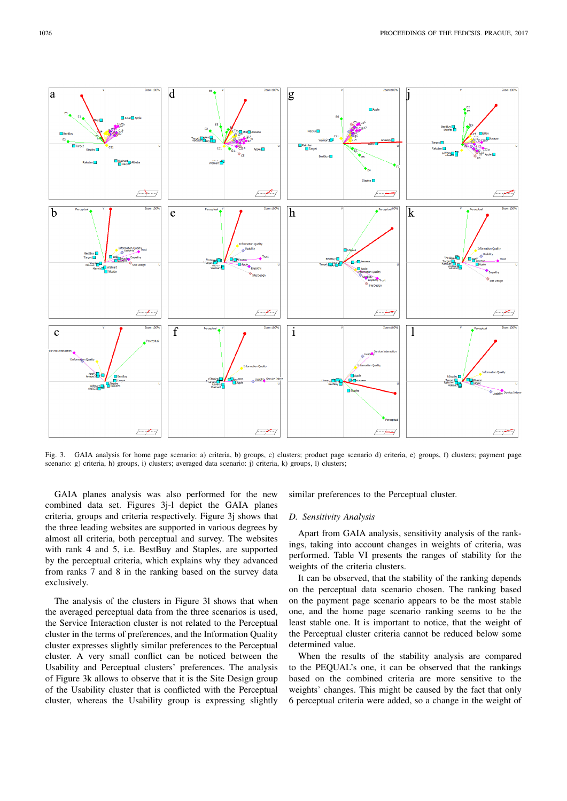

Fig. 3. GAIA analysis for home page scenario: a) criteria, b) groups, c) clusters; product page scenario d) criteria, e) groups, f) clusters; payment page scenario: g) criteria, h) groups, i) clusters; averaged data scenario: j) criteria, k) groups, l) clusters;

GAIA planes analysis was also performed for the new combined data set. Figures 3j-l depict the GAIA planes criteria, groups and criteria respectively. Figure 3j shows that the three leading websites are supported in various degrees by almost all criteria, both perceptual and survey. The websites with rank 4 and 5, i.e. BestBuy and Staples, are supported by the perceptual criteria, which explains why they advanced from ranks 7 and 8 in the ranking based on the survey data exclusively.

The analysis of the clusters in Figure 3l shows that when the averaged perceptual data from the three scenarios is used, the Service Interaction cluster is not related to the Perceptual cluster in the terms of preferences, and the Information Quality cluster expresses slightly similar preferences to the Perceptual cluster. A very small conflict can be noticed between the Usability and Perceptual clusters' preferences. The analysis of Figure 3k allows to observe that it is the Site Design group of the Usability cluster that is conflicted with the Perceptual cluster, whereas the Usability group is expressing slightly

similar preferences to the Perceptual cluster.

#### *D. Sensitivity Analysis*

Apart from GAIA analysis, sensitivity analysis of the rankings, taking into account changes in weights of criteria, was performed. Table VI presents the ranges of stability for the weights of the criteria clusters.

It can be observed, that the stability of the ranking depends on the perceptual data scenario chosen. The ranking based on the payment page scenario appears to be the most stable one, and the home page scenario ranking seems to be the least stable one. It is important to notice, that the weight of the Perceptual cluster criteria cannot be reduced below some determined value.

When the results of the stability analysis are compared to the PEQUAL's one, it can be observed that the rankings based on the combined criteria are more sensitive to the weights' changes. This might be caused by the fact that only 6 perceptual criteria were added, so a change in the weight of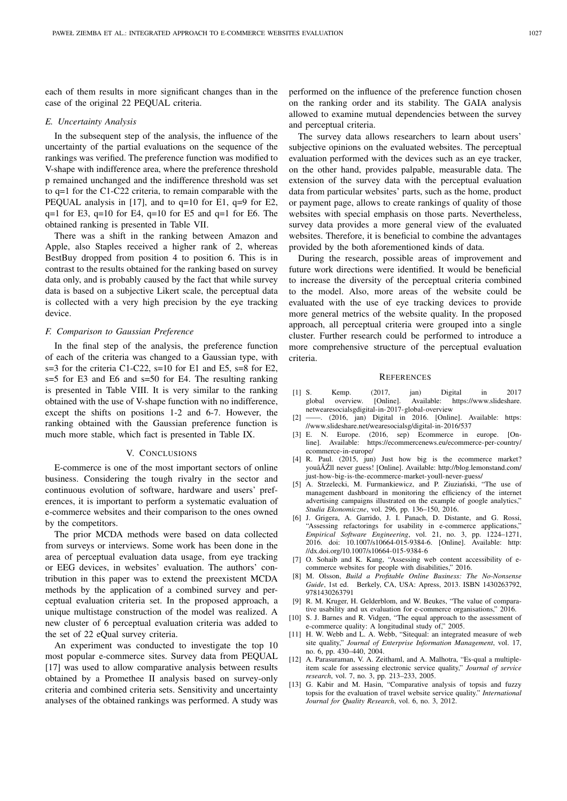each of them results in more significant changes than in the case of the original 22 PEQUAL criteria.

#### *E. Uncertainty Analysis*

In the subsequent step of the analysis, the influence of the uncertainty of the partial evaluations on the sequence of the rankings was verified. The preference function was modified to V-shape with indifference area, where the preference threshold p remained unchanged and the indifference threshold was set to q=1 for the C1-C22 criteria, to remain comparable with the PEQUAL analysis in [17], and to q=10 for E1, q=9 for E2,  $q=1$  for E3,  $q=10$  for E4,  $q=10$  for E5 and  $q=1$  for E6. The obtained ranking is presented in Table VII.

There was a shift in the ranking between Amazon and Apple, also Staples received a higher rank of 2, whereas BestBuy dropped from position 4 to position 6. This is in contrast to the results obtained for the ranking based on survey data only, and is probably caused by the fact that while survey data is based on a subjective Likert scale, the perceptual data is collected with a very high precision by the eye tracking device.

#### *F. Comparison to Gaussian Preference*

In the final step of the analysis, the preference function of each of the criteria was changed to a Gaussian type, with s=3 for the criteria C1-C22, s=10 for E1 and E5, s=8 for E2, s=5 for E3 and E6 and s=50 for E4. The resulting ranking is presented in Table VIII. It is very similar to the ranking obtained with the use of V-shape function with no indifference, except the shifts on positions 1-2 and 6-7. However, the ranking obtained with the Gaussian preference function is much more stable, which fact is presented in Table IX.

#### V. CONCLUSIONS

E-commerce is one of the most important sectors of online business. Considering the tough rivalry in the sector and continuous evolution of software, hardware and users' preferences, it is important to perform a systematic evaluation of e-commerce websites and their comparison to the ones owned by the competitors.

The prior MCDA methods were based on data collected from surveys or interviews. Some work has been done in the area of perceptual evaluation data usage, from eye tracking or EEG devices, in websites' evaluation. The authors' contribution in this paper was to extend the preexistent MCDA methods by the application of a combined survey and perceptual evaluation criteria set. In the proposed approach, a unique multistage construction of the model was realized. A new cluster of 6 perceptual evaluation criteria was added to the set of 22 eQual survey criteria.

An experiment was conducted to investigate the top 10 most popular e-commerce sites. Survey data from PEQUAL [17] was used to allow comparative analysis between results obtained by a Promethee II analysis based on survey-only criteria and combined criteria sets. Sensitivity and uncertainty analyses of the obtained rankings was performed. A study was

performed on the influence of the preference function chosen on the ranking order and its stability. The GAIA analysis allowed to examine mutual dependencies between the survey and perceptual criteria.

The survey data allows researchers to learn about users' subjective opinions on the evaluated websites. The perceptual evaluation performed with the devices such as an eye tracker, on the other hand, provides palpable, measurable data. The extension of the survey data with the perceptual evaluation data from particular websites' parts, such as the home, product or payment page, allows to create rankings of quality of those websites with special emphasis on those parts. Nevertheless, survey data provides a more general view of the evaluated websites. Therefore, it is beneficial to combine the advantages provided by the both aforementioned kinds of data.

During the research, possible areas of improvement and future work directions were identified. It would be beneficial to increase the diversity of the perceptual criteria combined to the model. Also, more areas of the website could be evaluated with the use of eye tracking devices to provide more general metrics of the website quality. In the proposed approach, all perceptual criteria were grouped into a single cluster. Further research could be performed to introduce a more comprehensive structure of the perceptual evaluation criteria.

#### **REFERENCES**

- [1] S. Kemp. (2017, jan) Digital in 2017 global overview. [Online]. Available: https://www.slideshare. netwearesocialsgdigital-in-2017-global-overview
- [2] ——. (2016, jan) Digital in 2016. [Online]. Available: https: //www.slideshare.net/wearesocialsg/digital-in-2016/537
- [3] E. N. Europe. (2016, sep) Ecommerce in europe. [Online]. Available: https://ecommercenews.eu/ecommerce-per-country/ ecommerce-in-europe/
- [4] R. Paul. (2015, jun) Just how big is the ecommerce market? youâĂŹll never guess! [Online]. Available: http://blog.lemonstand.com/ just-how-big-is-the-ecommerce-market-youll-never-guess/
- [5] A. Strzelecki, M. Furmankiewicz, and P. Ziuzianski, "The use of management dashboard in monitoring the efficiency of the internet advertising campaigns illustrated on the example of google analytics,' *Studia Ekonomiczne*, vol. 296, pp. 136–150, 2016.
- [6] J. Grigera, A. Garrido, J. I. Panach, D. Distante, and G. Rossi, "Assessing refactorings for usability in e-commerce applications," *Empirical Software Engineering*, vol. 21, no. 3, pp. 1224–1271, 2016. doi: 10.1007/s10664-015-9384-6. [Online]. Available: http: //dx.doi.org/10.1007/s10664-015-9384-6
- [7] O. Sohaib and K. Kang, "Assessing web content accessibility of ecommerce websites for people with disabilities," 2016.
- [8] M. Olsson, *Build a Profitable Online Business: The No-Nonsense Guide*, 1st ed. Berkely, CA, USA: Apress, 2013. ISBN 1430263792, 9781430263791
- [9] R. M. Kruger, H. Gelderblom, and W. Beukes, "The value of comparative usability and ux evaluation for e-commerce organisations," 2016.
- [10] S. J. Barnes and R. Vidgen, "The equal approach to the assessment of e-commerce quality: A longitudinal study of," 2005.
- [11] H. W. Webb and L. A. Webb, "Sitequal: an integrated measure of web site quality," *Journal of Enterprise Information Management*, vol. 17, no. 6, pp. 430–440, 2004.
- [12] A. Parasuraman, V. A. Zeithaml, and A. Malhotra, "Es-qual a multipleitem scale for assessing electronic service quality," *Journal of service research*, vol. 7, no. 3, pp. 213–233, 2005.
- [13] G. Kabir and M. Hasin, "Comparative analysis of topsis and fuzzy topsis for the evaluation of travel website service quality." *International Journal for Quality Research*, vol. 6, no. 3, 2012.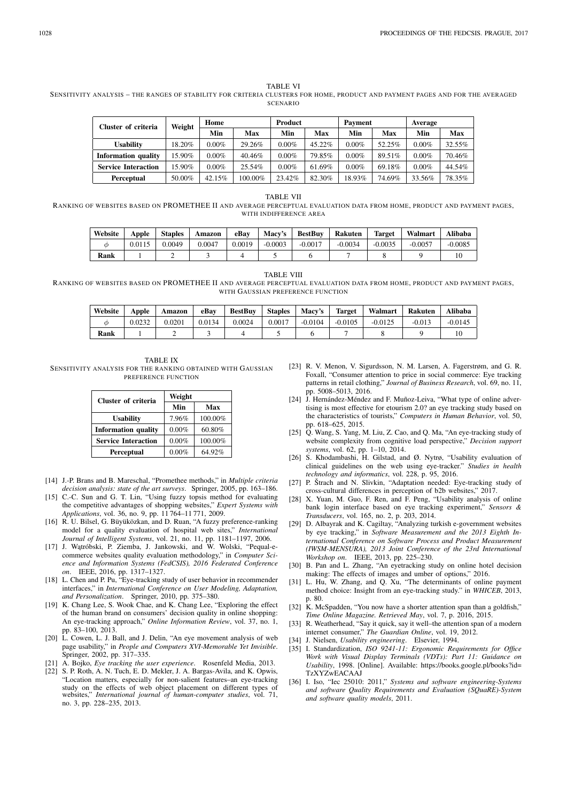SENSITIVITY ANALYSIS – THE RANGES OF STABILITY FOR CRITERIA CLUSTERS FOR HOME, PRODUCT AND PAYMENT PAGES AND FOR THE AVERAGED SCENARIO

| Cluster of criteria        | Weight | Home       |         | Product  |           | Payment  |        | Average  |        |  |
|----------------------------|--------|------------|---------|----------|-----------|----------|--------|----------|--------|--|
|                            |        | Min<br>Max |         | Min      | Max       |          | Max    | Min      | Max    |  |
| <b>Usability</b>           | 18.20% | $0.00\%$   | 29.26%  | $0.00\%$ | $45.22\%$ | $0.00\%$ | 52.25% | $0.00\%$ | 32.55% |  |
| <b>Information quality</b> | 15.90% | $0.00\%$   | 40.46%  | $0.00\%$ | 79.85%    | $0.00\%$ | 89.51% | $0.00\%$ | 70.46% |  |
| <b>Service Interaction</b> | 15.90% | $0.00\%$   | 25.54%  | 0.00%    | 61.69%    | $0.00\%$ | 69.18% | $0.00\%$ | 44.54% |  |
| <b>Perceptual</b>          | 50.00% | 42.15%     | 100.00% | 23.42%   | 82.30%    | 18.93%   | 74.69% | 33.56%   | 78.35% |  |

TABLE VII

RANKING OF WEBSITES BASED ON PROMETHEE II AND AVERAGE PERCEPTUAL EVALUATION DATA FROM HOME, PRODUCT AND PAYMENT PAGES, WITH INDIFFERENCE AREA

| Website | Apple  | <b>Staples</b> | Amazon | eBav   | Macv's    | <b>BestBuv</b> | <b>Rakuten</b> | <b>Target</b> | Walmart   | Alibaba   |
|---------|--------|----------------|--------|--------|-----------|----------------|----------------|---------------|-----------|-----------|
| Φ       | 0.0115 | 0.0049         | 0.0047 | 0.0019 | $-0.0003$ | $-0.0017$      | $-0.0034$      | $-0.0035$     | $-0.0057$ | $-0.0085$ |
| Rank    |        |                |        |        |           |                |                |               |           |           |

TABLE VIII

RANKING OF WEBSITES BASED ON PROMETHEE II AND AVERAGE PERCEPTUAL EVALUATION DATA FROM HOME, PRODUCT AND PAYMENT PAGES, WITH GAUSSIAN PREFERENCE FUNCTION

| Website | Apple  | Amazon | eBav   | <b>BestBuv</b> | <b>Staples</b> | Macy's    | <b>Target</b> | Walmart   | Rakuten  | <b>Alibaba</b> |
|---------|--------|--------|--------|----------------|----------------|-----------|---------------|-----------|----------|----------------|
|         | 0.0232 | 0.0201 | 0.0134 | 0.0024         | 0.0017         | $-0.0104$ | $-0.0105$     | $-0.0125$ | $-0.013$ | $-0.0145$      |
| Rank    |        |        |        |                |                |           |               |           |          |                |

TABLE IX SENSITIVITY ANALYSIS FOR THE RANKING OBTAINED WITH GAUSSIAN PREFERENCE FUNCTION

| Cluster of criteria        | Weight |         |  |  |  |  |
|----------------------------|--------|---------|--|--|--|--|
|                            | Min    | Max     |  |  |  |  |
| <b>Usability</b>           | 7.96%  | 100.00% |  |  |  |  |
| <b>Information quality</b> | 0.00%  | 60.80%  |  |  |  |  |
| <b>Service Interaction</b> | 0.00%  | 100.00% |  |  |  |  |
| Perceptual                 | 0.00%  | 64.92%  |  |  |  |  |

- [14] J.-P. Brans and B. Mareschal, "Promethee methods," in *Multiple criteria decision analysis: state of the art surveys*. Springer, 2005, pp. 163–186.
- [15] C.-C. Sun and G. T. Lin, "Using fuzzy topsis method for evaluating the competitive advantages of shopping websites," *Expert Systems with Applications*, vol. 36, no. 9, pp. 11 764–11 771, 2009.
- [16] R. U. Bilsel, G. Büyüközkan, and D. Ruan, "A fuzzy preference-ranking model for a quality evaluation of hospital web sites," *International Journal of Intelligent Systems*, vol. 21, no. 11, pp. 1181–1197, 2006.
- [17] J. Wątróbski, P. Ziemba, J. Jankowski, and W. Wolski, "Pequal-ecommerce websites quality evaluation methodology," in *Computer Science and Information Systems (FedCSIS), 2016 Federated Conference on*. IEEE, 2016, pp. 1317–1327.
- [18] L. Chen and P. Pu, "Eye-tracking study of user behavior in recommender interfaces," in *International Conference on User Modeling, Adaptation, and Personalization*. Springer, 2010, pp. 375–380.
- [19] K. Chang Lee, S. Wook Chae, and K. Chang Lee, "Exploring the effect of the human brand on consumers' decision quality in online shopping: An eye-tracking approach," *Online Information Review*, vol. 37, no. 1, pp. 83–100, 2013.
- [20] L. Cowen, L. J. Ball, and J. Delin, "An eye movement analysis of web page usability," in *People and Computers XVI-Memorable Yet Invisible*. Springer, 2002, pp. 317–335.
- [21] A. Bojko, *Eye tracking the user experience*. Rosenfeld Media, 2013.
- [22] S. P. Roth, A. N. Tuch, E. D. Mekler, J. A. Bargas-Avila, and K. Opwis, "Location matters, especially for non-salient features–an eye-tracking study on the effects of web object placement on different types of websites," *International journal of human-computer studies*, vol. 71, no. 3, pp. 228–235, 2013.
- [23] R. V. Menon, V. Sigurdsson, N. M. Larsen, A. Fagerstrøm, and G. R. Foxall, "Consumer attention to price in social commerce: Eye tracking patterns in retail clothing," *Journal of Business Research*, vol. 69, no. 11, pp. 5008–5013, 2016.
- [24] J. Hernández-Méndez and F. Muñoz-Leiva, "What type of online advertising is most effective for etourism 2.0? an eye tracking study based on the characteristics of tourists," *Computers in Human Behavior*, vol. 50, pp. 618–625, 2015.
- [25] Q. Wang, S. Yang, M. Liu, Z. Cao, and Q. Ma, "An eye-tracking study of website complexity from cognitive load perspective," *Decision support systems*, vol. 62, pp. 1–10, 2014.
- [26] S. Khodambashi, H. Gilstad, and Ø. Nytrø, "Usability evaluation of clinical guidelines on the web using eye-tracker." *Studies in health technology and informatics*, vol. 228, p. 95, 2016.
- [27] P. Štrach and N. Slivkin, "Adaptation needed: Eye-tracking study of cross-cultural differences in perception of b2b websites," 2017.
- [28] X. Yuan, M. Guo, F. Ren, and F. Peng, "Usability analysis of online bank login interface based on eye tracking experiment," *Sensors & Transducers*, vol. 165, no. 2, p. 203, 2014.
- [29] D. Albayrak and K. Cagiltay, "Analyzing turkish e-government websites by eye tracking," in *Software Measurement and the 2013 Eighth International Conference on Software Process and Product Measurement (IWSM-MENSURA), 2013 Joint Conference of the 23rd International Workshop on*. IEEE, 2013, pp. 225–230.
- [30] B. Pan and L. Zhang, "An eyetracking study on online hotel decision making: The effects of images and umber of options," 2016.
- [31] L. Hu, W. Zhang, and Q. Xu, "The determinants of online payment method choice: Insight from an eye-tracking study." in *WHICEB*, 2013, p. 80.
- [32] K. McSpadden, "You now have a shorter attention span than a goldfish," *Time Online Magazine. Retrieved May*, vol. 7, p. 2016, 2015.
- [33] R. Weatherhead, "Say it quick, say it well-the attention span of a modern internet consumer," *The Guardian Online*, vol. 19, 2012.
- [34] J. Nielsen, *Usability engineering*. Elsevier, 1994.
- [35] I. Standardization, *ISO 9241-11: Ergonomic Requirements for Office Work with Visual Display Terminals (VDTs): Part 11: Guidance on Usability*, 1998. [Online]. Available: https://books.google.pl/books?id= TzXYZwEACAAJ
- [36] I. Iso, "Iec 25010: 2011," *Systems and software engineering-Systems and software Quality Requirements and Evaluation (SQuaRE)-System and software quality models*, 2011.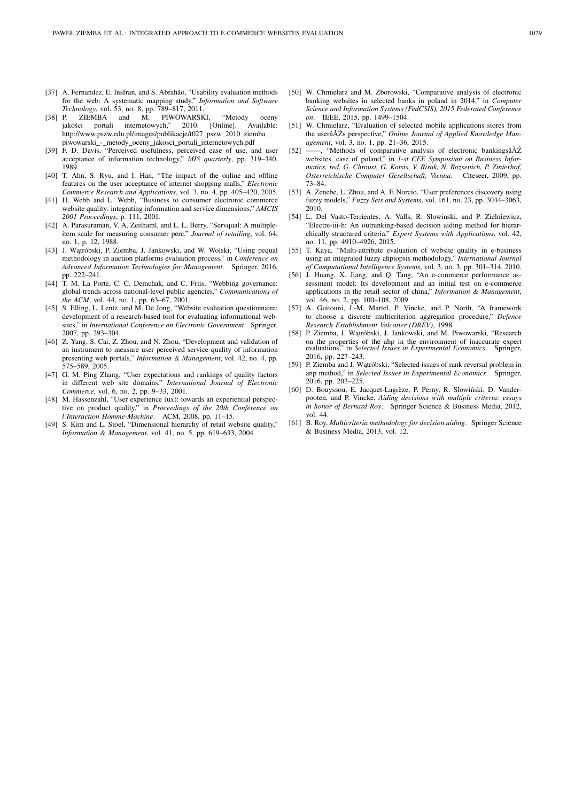- [37] A. Fernandez, E. Insfran, and S. Abrahão, "Usability evaluation methods for the web: A systematic mapping study," *Information and Software Technology*, vol. 53, no. 8, pp. 789–817, 2011.
- [38] P. ZIEMBA and M. PIWOWARSKI, "Metody oceny<br>
jakości portali internetowych," 2010. [Online]. Available: jakości portali internetowych," http://www.pszw.edu.pl/images/publikacje/t027\_pszw\_2010\_ziemba\_ piwowarski\_-\_metody\_oceny\_jakosci\_portali\_internetowych.pdf
- [39] F. D. Davis, "Perceived usefulness, perceived ease of use, and user acceptance of information technology," *MIS quarterly*, pp. 319–340, 1989.
- [40] T. Ahn, S. Ryu, and I. Han, "The impact of the online and offline features on the user acceptance of internet shopping malls," *Electronic Commerce Research and Applications*, vol. 3, no. 4, pp. 405–420, 2005.
- [41] H. Webb and L. Webb, "Business to consumer electronic commerce website quality: integrating information and service dimensions," *AMCIS 2001 Proceedings*, p. 111, 2001.
- [42] A. Parasuraman, V. A. Zeithaml, and L. L. Berry, "Servqual: A multipleitem scale for measuring consumer perc," *Journal of retailing*, vol. 64, no. 1, p. 12, 1988.
- [43] J. Watróbski, P. Ziemba, J. Jankowski, and W. Wolski, "Using pequal methodology in auction platforms evaluation process," in *Conference on Advanced Information Technologies for Management*. Springer, 2016, pp. 222–241.
- [44] T. M. La Porte, C. C. Demchak, and C. Friis, "Webbing governance: global trends across national-level public agencies," *Communications of the ACM*, vol. 44, no. 1, pp. 63–67, 2001.
- [45] S. Elling, L. Lentz, and M. De Jong, "Website evaluation questionnaire: development of a research-based tool for evaluating informational websites," in *International Conference on Electronic Government*. Springer, 2007, pp. 293–304.
- [46] Z. Yang, S. Cai, Z. Zhou, and N. Zhou, "Development and validation of an instrument to measure user perceived service quality of information presenting web portals," *Information & Management*, vol. 42, no. 4, pp. 575–589, 2005.
- [47] G. M. Ping Zhang, "User expectations and rankings of quality factors in different web site domains," *International Journal of Electronic Commerce*, vol. 6, no. 2, pp. 9–33, 2001.
- [48] M. Hassenzahl, "User experience (ux): towards an experiential perspective on product quality," in *Proceedings of the 20th Conference on l'Interaction Homme-Machine*. ACM, 2008, pp. 11–15.
- [49] S. Kim and L. Stoel, "Dimensional hierarchy of retail website quality," *Information & Management*, vol. 41, no. 5, pp. 619–633, 2004.
- [50] W. Chmielarz and M. Zborowski, "Comparative analysis of electronic banking websites in selected banks in poland in 2014," in *Computer Science and Information Systems (FedCSIS), 2015 Federated Conference on*. IEEE, 2015, pp. 1499–1504.
- [51] W. Chmielarz, "Evaluation of selected mobile applications stores from the userâ $\breve{A}Z$ s perspective," Online Journal of Applied Knowledge Man*agement*, vol. 3, no. 1, pp. 21–36, 2015.
- [52] —, "Methods of comparative analysis of electronic bankingsâ $\breve{\rm A}$ Ź websites. case of poland," in *1-st CEE Symposium on Business Informatics, red. G. Chroust, G. Kotsis, V. Risak, N. Rozsenich, P. Zinterhof,* Osterreichische Computer Gesellschaft, Vienna. 73–84.
- [53] A. Zenebe, L. Zhou, and A. F. Norcio, "User preferences discovery using fuzzy models," *Fuzzy Sets and Systems*, vol. 161, no. 23, pp. 3044–3063, 2010.
- [54] L. Del Vasto-Terrientes, A. Valls, R. Slowinski, and P. Zielniewicz, "Electre-iii-h: An outranking-based decision aiding method for hierarchically structured criteria," *Expert Systems with Applications*, vol. 42, no. 11, pp. 4910–4926, 2015.
- [55] T. Kaya, "Multi-attribute evaluation of website quality in e-business using an integrated fuzzy ahptopsis methodology," *International Journal of Computational Intelligence Systems*, vol. 3, no. 3, pp. 301–314, 2010.
- [56] J. Huang, X. Jiang, and Q. Tang, "An e-commerce performance assessment model: Its development and an initial test on e-commerce applications in the retail sector of china," *Information & Management*, vol. 46, no. 2, pp. 100–108, 2009.
- [57] A. Guitouni, J.-M. Martel, P. Vincke, and P. North, "A framework to choose a discrete multicriterion aggregation procedure," *Defence Research Establishment Valcatier (DREV)*, 1998.
- [58] P. Ziemba, J. Wątróbski, J. Jankowski, and M. Piwowarski, "Research on the properties of the ahp in the environment of inaccurate expert evaluations," in *Selected Issues in Experimental Economics*. Springer, 2016, pp. 227–243.
- [59] P. Ziemba and J. Wątróbski, "Selected issues of rank reversal problem in anp method," in *Selected Issues in Experimental Economics*. Springer, 2016, pp. 203–225.
- [60] D. Bouyssou, E. Jacquet-Lagrèze, P. Perny, R. Slowiński, D. Vanderpooten, and P. Vincke, *Aiding decisions with multiple criteria: essays in honor of Bernard Roy*. Springer Science & Business Media, 2012, vol. 44.
- [61] B. Roy, *Multicriteria methodology for decision aiding*. Springer Science & Business Media, 2013, vol. 12.